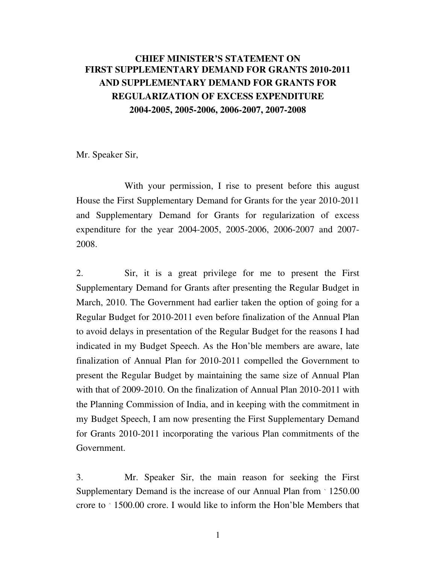## CHIEF MINISTER'S STATEMENT ON FIRST SUPPLEMENTARY DEMAND FOR GRANTS 2010-2011 AND SUPPLEMENTARY DEMAND FOR GRANTS FOR REGULARIZATION OF EXCESS EXPENDITURE 2004-2005, 2005-2006, 2006-2007, 2007-2008

Mr. Speaker Sir,

 With your permission, I rise to present before this august House the First Supplementary Demand for Grants for the year 2010-2011 and Supplementary Demand for Grants for regularization of excess expenditure for the year 2004-2005, 2005-2006, 2006-2007 and 2007- 2008.

2. Sir, it is a great privilege for me to present the First Supplementary Demand for Grants after presenting the Regular Budget in March, 2010. The Government had earlier taken the option of going for a Regular Budget for 2010-2011 even before finalization of the Annual Plan to avoid delays in presentation of the Regular Budget for the reasons I had indicated in my Budget Speech. As the Hon'ble members are aware, late finalization of Annual Plan for 2010-2011 compelled the Government to present the Regular Budget by maintaining the same size of Annual Plan with that of 2009-2010. On the finalization of Annual Plan 2010-2011 with the Planning Commission of India, and in keeping with the commitment in my Budget Speech, I am now presenting the First Supplementary Demand for Grants 2010-2011 incorporating the various Plan commitments of the Government.

3. Mr. Speaker Sir, the main reason for seeking the First Supplementary Demand is the increase of our Annual Plan from  $\cdot$  1250.00 crore to  $\degree$  1500.00 crore. I would like to inform the Hon'ble Members that